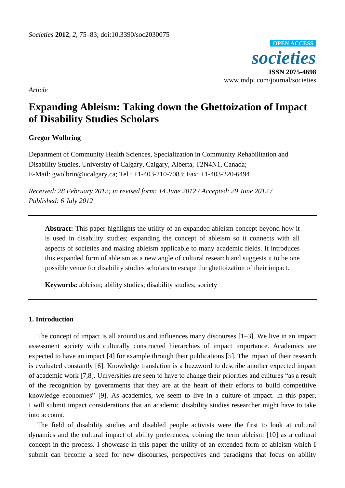

*Article*

# **Expanding Ableism: Taking down the Ghettoization of Impact of Disability Studies Scholars**

# **Gregor Wolbring**

Department of Community Health Sciences, Specialization in Community Rehabilitation and Disability Studies, University of Calgary, Calgary, Alberta, T2N4N1, Canada; E-Mail: gwolbrin@ucalgary.ca; Tel.: +1-403-210-7083; Fax: +1-403-220-6494

*Received: 28 February 2012; in revised form: 14 June 2012 / Accepted: 29 June 2012 / Published: 6 July 2012*

**Abstract:** This paper highlights the utility of an expanded ableism concept beyond how it is used in disability studies; expanding the concept of ableism so it connects with all aspects of societies and making ableism applicable to many academic fields. It introduces this expanded form of ableism as a new angle of cultural research and suggests it to be one possible venue for disability studies scholars to escape the ghettoization of their impact.

**Keywords:** ableism; ability studies; disability studies; society

### **1. Introduction**

The concept of impact is all around us and influences many discourses [1–3]. We live in an impact assessment society with culturally constructed hierarchies of impact importance. Academics are expected to have an impact [4] for example through their publications [5]. The impact of their research is evaluated constantly [6]. Knowledge translation is a buzzword to describe another expected impact of academic work [7,8]. Universities are seen to have to change their priorities and cultures "as a result of the recognition by governments that they are at the heart of their efforts to build competitive knowledge economies" [9]. As academics, we seem to live in a culture of impact. In this paper, I will submit impact considerations that an academic disability studies researcher might have to take into account.

The field of disability studies and disabled people activists were the first to look at cultural dynamics and the cultural impact of ability preferences, coining the term ableism [10] as a cultural concept in the process. I showcase in this paper the utility of an extended form of ableism which I submit can become a seed for new discourses, perspectives and paradigms that focus on ability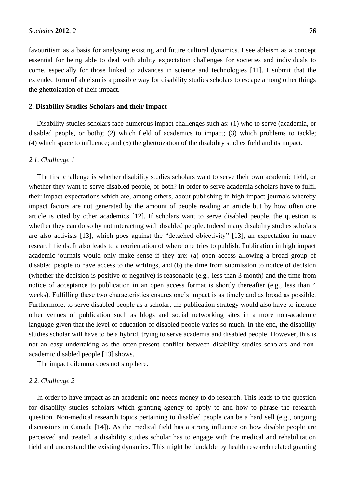favouritism as a basis for analysing existing and future cultural dynamics. I see ableism as a concept essential for being able to deal with ability expectation challenges for societies and individuals to come, especially for those linked to advances in science and technologies [11]. I submit that the extended form of ableism is a possible way for disability studies scholars to escape among other things the ghettoization of their impact.

## **2. Disability Studies Scholars and their Impact**

Disability studies scholars face numerous impact challenges such as: (1) who to serve (academia, or disabled people, or both); (2) which field of academics to impact; (3) which problems to tackle; (4) which space to influence; and (5) the ghettoization of the disability studies field and its impact.

## *2.1. Challenge 1*

The first challenge is whether disability studies scholars want to serve their own academic field, or whether they want to serve disabled people, or both? In order to serve academia scholars have to fulfil their impact expectations which are, among others, about publishing in high impact journals whereby impact factors are not generated by the amount of people reading an article but by how often one article is cited by other academics [12]. If scholars want to serve disabled people, the question is whether they can do so by not interacting with disabled people. Indeed many disability studies scholars are also activists [13], which goes against the "detached objectivity" [13], an expectation in many research fields. It also leads to a reorientation of where one tries to publish. Publication in high impact academic journals would only make sense if they are: (a) open access allowing a broad group of disabled people to have access to the writings, and (b) the time from submission to notice of decision (whether the decision is positive or negative) is reasonable (e.g., less than 3 month) and the time from notice of acceptance to publication in an open access format is shortly thereafter (e.g., less than 4 weeks). Fulfilling these two characteristics ensures one's impact is as timely and as broad as possible. Furthermore, to serve disabled people as a scholar, the publication strategy would also have to include other venues of publication such as blogs and social networking sites in a more non-academic language given that the level of education of disabled people varies so much. In the end, the disability studies scholar will have to be a hybrid, trying to serve academia and disabled people. However, this is not an easy undertaking as the often-present conflict between disability studies scholars and nonacademic disabled people [13] shows.

The impact dilemma does not stop here.

## *2.2. Challenge 2*

In order to have impact as an academic one needs money to do research. This leads to the question for disability studies scholars which granting agency to apply to and how to phrase the research question. Non-medical research topics pertaining to disabled people can be a hard sell (e.g., ongoing discussions in Canada [14]). As the medical field has a strong influence on how disable people are perceived and treated, a disability studies scholar has to engage with the medical and rehabilitation field and understand the existing dynamics. This might be fundable by health research related granting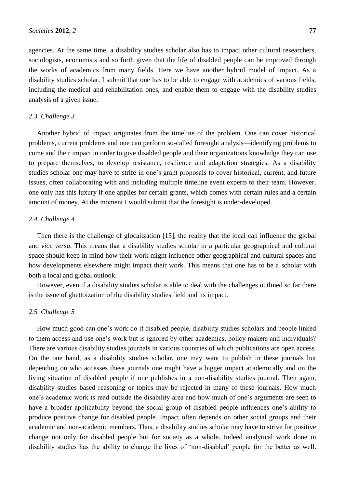agencies. At the same time, a disability studies scholar also has to impact other cultural researchers, sociologists, economists and so forth given that the life of disabled people can be improved through the works of academics from many fields. Here we have another hybrid model of impact. As a disability studies scholar, I submit that one has to be able to engage with academics of various fields, including the medical and rehabilitation ones, and enable them to engage with the disability studies analysis of a given issue.

## *2.3. Challenge 3*

Another hybrid of impact originates from the timeline of the problem. One can cover historical problems, current problems and one can perform so-called foresight analysis—identifying problems to come and their impact in order to give disabled people and their organizations knowledge they can use to prepare themselves, to develop resistance, resilience and adaptation strategies. As a disability studies scholar one may have to strife in one's grant proposals to cover historical, current, and future issues, often collaborating with and including multiple timeline event experts to their team. However, one only has this luxury if one applies for certain grants, which comes with certain rules and a certain amount of money. At the moment I would submit that the foresight is under-developed.

## *2.4. Challenge 4*

Then there is the challenge of glocalization [15], the reality that the local can influence the global and *vice versa*. This means that a disability studies scholar in a particular geographical and cultural space should keep in mind how their work might influence other geographical and cultural spaces and how developments elsewhere might impact their work. This means that one has to be a scholar with both a local and global outlook.

However, even if a disability studies scholar is able to deal with the challenges outlined so far there is the issue of ghettoization of the disability studies field and its impact.

# *2.5. Challenge 5*

How much good can one's work do if disabled people, disability studies scholars and people linked to them access and use one's work but is ignored by other academics, policy makers and individuals? There are various disability studies journals in various countries of which publications are open access. On the one hand, as a disability studies scholar, one may want to publish in these journals but depending on who accesses these journals one might have a bigger impact academically and on the living situation of disabled people if one publishes in a non-disability studies journal. Then again, disability studies based reasoning or topics may be rejected in many of these journals. How much one's academic work is read outside the disability area and how much of one's arguments are seen to have a broader applicability beyond the social group of disabled people influences one's ability to produce positive change for disabled people. Impact often depends on other social groups and their academic and non-academic members. Thus, a disability studies scholar may have to strive for positive change not only for disabled people but for society as a whole. Indeed analytical work done in disability studies has the ability to change the lives of 'non-disabled' people for the better as well.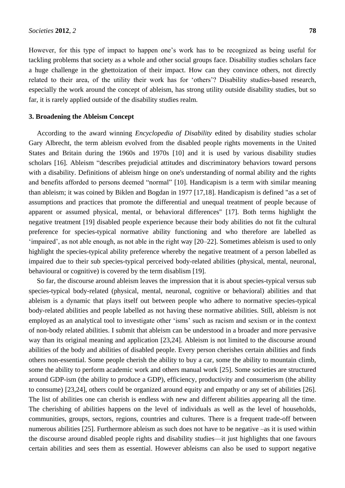However, for this type of impact to happen one's work has to be recognized as being useful for tackling problems that society as a whole and other social groups face. Disability studies scholars face a huge challenge in the ghettoization of their impact. How can they convince others, not directly related to their area, of the utility their work has for 'others'? Disability studies-based research, especially the work around the concept of ableism, has strong utility outside disability studies, but so far, it is rarely applied outside of the disability studies realm.

#### **3. Broadening the Ableism Concept**

According to the award winning *Encyclopedia of Disability* edited by disability studies scholar Gary Albrecht, the term ableism evolved from the disabled people rights movements in the United States and Britain during the 1960s and 1970s [10] and it is used by various disability studies scholars [16]. Ableism "describes prejudicial attitudes and discriminatory behaviors toward persons with a disability. Definitions of ableism hinge on one's understanding of normal ability and the rights and benefits afforded to persons deemed "normal" [10]. Handicapism is a term with similar meaning than ableism; it was coined by Biklen and Bogdan in 1977 [17,18]. Handicapism is defined "as a set of assumptions and practices that promote the differential and unequal treatment of people because of apparent or assumed physical, mental, or behavioral differences" [17]. Both terms highlight the negative treatment [19] disabled people experience because their body abilities do not fit the cultural preference for species-typical normative ability functioning and who therefore are labelled as ‗impaired', as not able enough, as not able in the right way [20–22]. Sometimes ableism is used to only highlight the species-typical ability preference whereby the negative treatment of a person labelled as impaired due to their sub species-typical perceived body-related abilities (physical, mental, neuronal, behavioural or cognitive) is covered by the term disablism [19].

So far, the discourse around ableism leaves the impression that it is about species-typical versus sub species-typical body-related (physical, mental, neuronal, cognitive or behavioral) abilities and that ableism is a dynamic that plays itself out between people who adhere to normative species-typical body-related abilities and people labelled as not having these normative abilities. Still, ableism is not employed as an analytical tool to investigate other 'isms' such as racism and sexism or in the context of non-body related abilities. I submit that ableism can be understood in a broader and more pervasive way than its original meaning and application [23,24]. Ableism is not limited to the discourse around abilities of the body and abilities of disabled people. Every person cherishes certain abilities and finds others non-essential. Some people cherish the ability to buy a car, some the ability to mountain climb, some the ability to perform academic work and others manual work [25]. Some societies are structured around GDP-ism (the ability to produce a GDP), efficiency, productivity and consumerism (the ability to consume) [23,24], others could be organized around equity and empathy or any set of abilities [26]. The list of abilities one can cherish is endless with new and different abilities appearing all the time. The cherishing of abilities happens on the level of individuals as well as the level of households, communities, groups, sectors, regions, countries and cultures. There is a frequent trade-off between numerous abilities [25]. Furthermore ableism as such does not have to be negative –as it is used within the discourse around disabled people rights and disability studies—it just highlights that one favours certain abilities and sees them as essential. However ableisms can also be used to support negative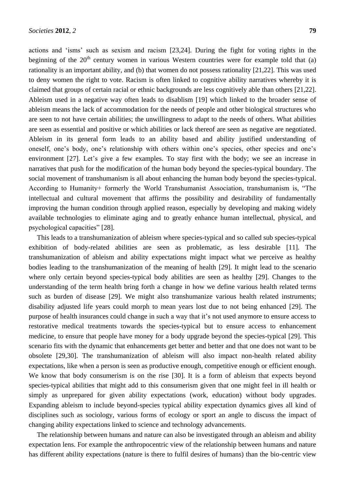actions and 'isms' such as sexism and racism [23,24]. During the fight for voting rights in the beginning of the  $20<sup>th</sup>$  century women in various Western countries were for example told that (a) rationality is an important ability, and (b) that women do not possess rationality [21,22]. This was used to deny women the right to vote. Racism is often linked to cognitive ability narratives whereby it is claimed that groups of certain racial or ethnic backgrounds are less cognitively able than others [21,22]. Ableism used in a negative way often leads to disablism [19] which linked to the broader sense of ableism means the lack of accommodation for the needs of people and other biological structures who are seen to not have certain abilities; the unwillingness to adapt to the needs of others. What abilities are seen as essential and positive or which abilities or lack thereof are seen as negative are negotiated. Ableism in its general form leads to an ability based and ability justified understanding of oneself, one's body, one's relationship with others within one's species, other species and one's environment [27]. Let's give a few examples. To stay first with the body; we see an increase in narratives that push for the modification of the human body beyond the species-typical boundary. The social movement of transhumanism is all about enhancing the human body beyond the species-typical. According to Humanity+ formerly the World Transhumanist Association, transhumanism is, "The intellectual and cultural movement that affirms the possibility and desirability of fundamentally improving the human condition through applied reason, especially by developing and making widely available technologies to eliminate aging and to greatly enhance human intellectual, physical, and psychological capacities" [28].

This leads to a transhumanization of ableism where species-typical and so called sub species-typical exhibition of body-related abilities are seen as problematic, as less desirable [11]. The transhumanization of ableism and ability expectations might impact what we perceive as healthy bodies leading to the transhumanization of the meaning of health [29]. It might lead to the scenario where only certain beyond species-typical body abilities are seen as healthy [29]. Changes to the understanding of the term health bring forth a change in how we define various health related terms such as burden of disease [29]. We might also transhumanize various health related instruments; disability adjusted life years could morph to mean years lost due to not being enhanced [29]. The purpose of health insurances could change in such a way that it's not used anymore to ensure access to restorative medical treatments towards the species-typical but to ensure access to enhancement medicine, to ensure that people have money for a body upgrade beyond the species-typical [29]. This scenario fits with the dynamic that enhancements get better and better and that one does not want to be obsolete [29,30]. The transhumanization of ableism will also impact non-health related ability expectations, like when a person is seen as productive enough, competitive enough or efficient enough. We know that body consumerism is on the rise [30]. It is a form of ableism that expects beyond species-typical abilities that might add to this consumerism given that one might feel in ill health or simply as unprepared for given ability expectations (work, education) without body upgrades. Expanding ableism to include beyond-species typical ability expectation dynamics gives all kind of disciplines such as sociology, various forms of ecology or sport an angle to discuss the impact of changing ability expectations linked to science and technology advancements.

The relationship between humans and nature can also be investigated through an ableism and ability expectation lens. For example the anthropocentric view of the relationship between humans and nature has different ability expectations (nature is there to fulfil desires of humans) than the bio-centric view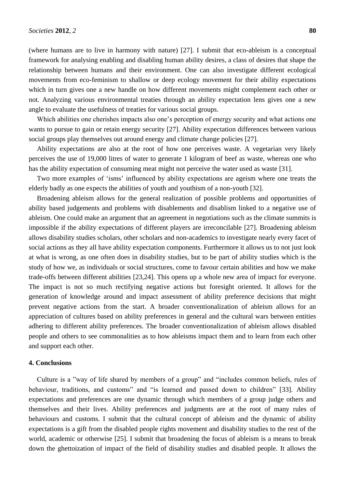(where humans are to live in harmony with nature) [27]. I submit that eco-ableism is a conceptual framework for analysing enabling and disabling human ability desires, a class of desires that shape the relationship between humans and their environment. One can also investigate different ecological movements from eco-feminism to shallow or deep ecology movement for their ability expectations which in turn gives one a new handle on how different movements might complement each other or not. Analyzing various environmental treaties through an ability expectation lens gives one a new angle to evaluate the usefulness of treaties for various social groups.

Which abilities one cherishes impacts also one's perception of energy security and what actions one wants to pursue to gain or retain energy security [27]. Ability expectation differences between various social groups play themselves out around energy and climate change policies [27].

Ability expectations are also at the root of how one perceives waste. A vegetarian very likely perceives the use of 19,000 litres of water to generate 1 kilogram of beef as waste, whereas one who has the ability expectation of consuming meat might not perceive the water used as waste [31].

Two more examples of 'isms' influenced by ability expectations are ageism where one treats the elderly badly as one expects the abilities of youth and youthism of a non-youth [32].

Broadening ableism allows for the general realization of possible problems and opportunities of ability based judgements and problems with disablements and disablism linked to a negative use of ableism. One could make an argument that an agreement in negotiations such as the climate summits is impossible if the ability expectations of different players are irreconcilable [27]. Broadening ableism allows disability studies scholars, other scholars and non-academics to investigate nearly every facet of social actions as they all have ability expectation components. Furthermore it allows us to not just look at what is wrong, as one often does in disability studies, but to be part of ability studies which is the study of how we, as individuals or social structures, come to favour certain abilities and how we make trade-offs between different abilities [23,24]. This opens up a whole new area of impact for everyone. The impact is not so much rectifying negative actions but foresight oriented. It allows for the generation of knowledge around and impact assessment of ability preference decisions that might prevent negative actions from the start. A broader conventionalization of ableism allows for an appreciation of cultures based on ability preferences in general and the cultural wars between entities adhering to different ability preferences. The broader conventionalization of ableism allows disabled people and others to see commonalities as to how ableisms impact them and to learn from each other and support each other.

#### **4. Conclusions**

Culture is a "way of life shared by members of a group" and "includes common beliefs, rules of behaviour, traditions, and customs" and "is learned and passed down to children" [33]. Ability expectations and preferences are one dynamic through which members of a group judge others and themselves and their lives. Ability preferences and judgments are at the root of many rules of behaviours and customs. I submit that the cultural concept of ableism and the dynamic of ability expectations is a gift from the disabled people rights movement and disability studies to the rest of the world, academic or otherwise [25]. I submit that broadening the focus of ableism is a means to break down the ghettoization of impact of the field of disability studies and disabled people. It allows the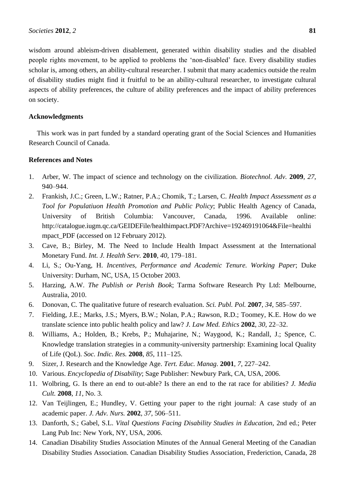wisdom around ableism-driven disablement, generated within disability studies and the disabled people rights movement, to be applied to problems the 'non-disabled' face. Every disability studies scholar is, among others, an ability-cultural researcher. I submit that many academics outside the realm of disability studies might find it fruitful to be an ability-cultural researcher, to investigate cultural aspects of ability preferences, the culture of ability preferences and the impact of ability preferences on society.

## **Acknowledgments**

This work was in part funded by a standard operating grant of the Social Sciences and Humanities Research Council of Canada.

#### **References and Notes**

- 1. Arber, W. The impact of science and technology on the civilization. *Biotechnol. Adv.* **2009**, *27*, 940–944.
- 2. Frankish, J.C.; Green, L.W.; Ratner, P.A.; Chomik, T.; Larsen, C. *Health Impact Assessment as a Tool for Populatiuon Health Promotion and Public Policy*; Public Health Agency of Canada, University of British Columbia: Vancouver, Canada, 1996. Available online: http://catalogue.iugm.qc.ca/GEIDEFile/healthimpact.PDF?Archive=192469191064&File=healthi mpact PDF (accessed on 12 February 2012).
- 3. Cave, B.; Birley, M. The Need to Include Health Impact Assessment at the International Monetary Fund. *Int. J. Health Serv.* **2010**, *40*, 179–181.
- 4. Li, S.; Ou-Yang, H. *Incentives, Performance and Academic Tenure. Working Paper*; Duke University: Durham, NC, USA, 15 October 2003.
- 5. Harzing, A.W. *The Publish or Perish Book*; Tarma Software Research Pty Ltd: Melbourne, Australia, 2010.
- 6. Donovan, C. The qualitative future of research evaluation. *Sci. Publ. Pol.* **2007**, *34*, 585–597.
- 7. Fielding, J.E.; Marks, J.S.; Myers, B.W.; Nolan, P.A.; Rawson, R.D.; Toomey, K.E. How do we translate science into public health policy and law? *J. Law Med. Ethics* **2002**, *30*, 22–32.
- 8. Williams, A.; Holden, B.; Krebs, P.; Muhajarine, N.; Waygood, K.; Randall, J.; Spence, C. Knowledge translation strategies in a community-university partnership: Examining local Quality of Life (QoL). *Soc. Indic. Res.* **2008**, *85*, 111–125.
- 9. Sizer, J. Research and the Knowledge Age. *Tert. Educ. Manag.* **2001**, *7*, 227–242.
- 10. Various. *Encyclopedia of Disability*; Sage Publisher: Newbury Park, CA, USA, 2006.
- 11. Wolbring, G. Is there an end to out-able? Is there an end to the rat race for abilities? *J. Media Cult.* **2008**, *11*, No. 3.
- 12. Van Teijlingen, E.; Hundley, V. Getting your paper to the right journal: A case study of an academic paper. *J. Adv. Nurs.* **2002**, *37*, 506–511.
- 13. Danforth, S.; Gabel, S.L. *Vital Questions Facing Disability Studies in Education*, 2nd ed.; Peter Lang Pub Inc: New York, NY, USA, 2006.
- 14. Canadian Disability Studies Association Minutes of the Annual General Meeting of the Canadian Disability Studies Association. Canadian Disability Studies Association, Frederiction, Canada, 28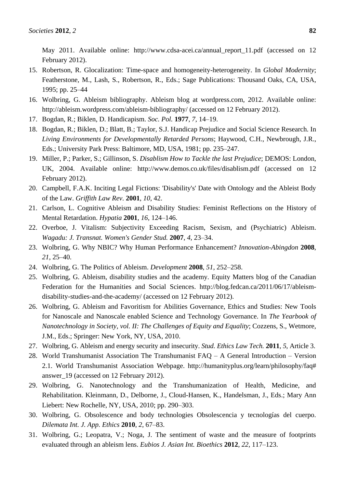May 2011. Available online: http://www.cdsa-acei.ca/annual\_report\_11.pdf (accessed on 12 February 2012).

- 15. Robertson, R. Glocalization: Time-space and homogeneity-heterogeneity. In *Global Modernity*; Featherstone, M., Lash, S., Robertson, R., Eds.; Sage Publications: Thousand Oaks, CA, USA, 1995; pp. 25–44
- 16. Wolbring, G. Ableism bibliography. Ableism blog at wordpress.com, 2012. Available online: http://ableism.wordpress.com/ableism-bibliography/ (accessed on 12 February 2012).
- 17. Bogdan, R.; Biklen, D. Handicapism. *Soc. Pol.* **1977**, *7*, 14–19.
- 18. Bogdan, R.; Biklen, D.; Blatt, B.; Taylor, S.J. Handicap Prejudice and Social Science Research. In *Living Environments for Developmentally Retarded Persons*; Haywood, C.H., Newbrough, J.R., Eds.; University Park Press: Baltimore, MD, USA, 1981; pp. 235–247.
- 19. Miller, P.; Parker, S.; Gillinson, S. *Disablism How to Tackle the last Prejudice*; DEMOS: London, UK, 2004. Available online: http://www.demos.co.uk/files/disablism.pdf (accessed on 12 February 2012).
- 20. Campbell, F.A.K. Inciting Legal Fictions: 'Disability's' Date with Ontology and the Ableist Body of the Law. *Griffith Law Rev.* **2001**, *10*, 42.
- 21. Carlson, L. Cognitive Ableism and Disability Studies: Feminist Reflections on the History of Mental Retardation. *Hypatia* **2001**, *16*, 124–146.
- 22. Overboe, J. Vitalism: Subjectivity Exceeding Racism, Sexism, and (Psychiatric) Ableism. *Wagadu: J. Transnat. Women's Gender Stud.* **2007**, *4*, 23–34.
- 23. Wolbring, G. Why NBIC? Why Human Performance Enhancement? *Innovation-Abingdon* **2008**, *21*, 25–40.
- 24. Wolbring, G. The Politics of Ableism. *Development* **2008**, *51*, 252–258.
- 25. Wolbring, G. Ableism, disability studies and the academy. Equity Matters blog of the Canadian Federation for the Humanities and Social Sciences. http://blog.fedcan.ca/2011/06/17/ableismdisability-studies-and-the-academy/ (accessed on 12 February 2012).
- 26. Wolbring, G. Ableism and Favoritism for Abilities Governance, Ethics and Studies: New Tools for Nanoscale and Nanoscale enabled Science and Technology Governance. In *The Yearbook of Nanotechnology in Society, vol. II: The Challenges of Equity and Equality*; Cozzens, S., Wetmore, J.M., Eds.; Springer: New York, NY, USA, 2010.
- 27. Wolbring, G. Ableism and energy security and insecurity. *Stud. Ethics Law Tech.* **2011**, *5*, Article 3.
- 28. World Transhumanist Association The Transhumanist FAQ A General Introduction Version 2.1. World Transhumanist Association Webpage. http://humanityplus.org/learn/philosophy/faq# answer 19 (accessed on 12 February 2012).
- 29. Wolbring, G. Nanotechnology and the Transhumanization of Health, Medicine, and Rehabilitation. Kleinmann, D., Delborne, J., Cloud-Hansen, K., Handelsman, J., Eds.; Mary Ann Liebert: New Rochelle, NY, USA, 2010; pp. 290–303.
- 30. Wolbring, G. Obsolescence and body technologies Obsolescencia y tecnologías del cuerpo. *Dilemata Int. J. App. Ethics* **2010**, *2*, 67–83.
- 31. Wolbring, G.; Leopatra, V.; Noga, J. The sentiment of waste and the measure of footprints evaluated through an ableism lens. *Eubios J. Asian Int. Bioethics* **2012**, *22*, 117–123.